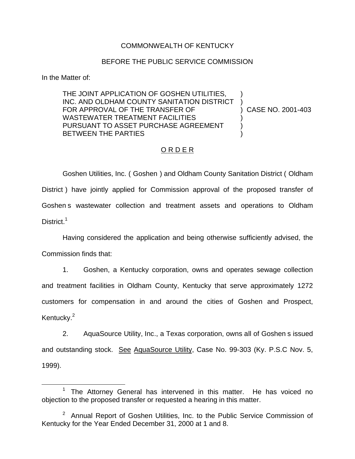## COMMONWEALTH OF KENTUCKY

## BEFORE THE PUBLIC SERVICE COMMISSION

In the Matter of:

THE JOINT APPLICATION OF GOSHEN UTILITIES, INC. AND OLDHAM COUNTY SANITATION DISTRICT FOR APPROVAL OF THE TRANSFER OF WASTEWATER TREATMENT FACILITIES PURSUANT TO ASSET PURCHASE AGREEMENT BETWEEN THE PARTIES ) ) ) CASE NO. 2001-403 ) ) )

## O R D E R

Goshen Utilities, Inc. ( Goshen ) and Oldham County Sanitation District ( Oldham District ) have jointly applied for Commission approval of the proposed transfer of Goshen s wastewater collection and treatment assets and operations to Oldham District.<sup>1</sup>

Having considered the application and being otherwise sufficiently advised, the Commission finds that:

1. Goshen, a Kentucky corporation, owns and operates sewage collection and treatment facilities in Oldham County, Kentucky that serve approximately 1272 customers for compensation in and around the cities of Goshen and Prospect, Kentucky.<sup>2</sup>

2. AquaSource Utility, Inc., a Texas corporation, owns all of Goshen s issued and outstanding stock. See AquaSource Utility, Case No. 99-303 (Ky. P.S.C Nov. 5, 1999).

The Attorney General has intervened in this matter. He has voiced no objection to the proposed transfer or requested a hearing in this matter.

 $2$  Annual Report of Goshen Utilities, Inc. to the Public Service Commission of Kentucky for the Year Ended December 31, 2000 at 1 and 8.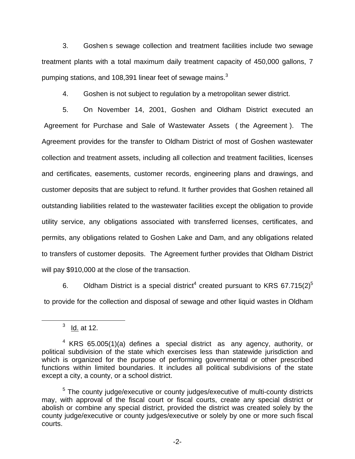3. Goshen s sewage collection and treatment facilities include two sewage treatment plants with a total maximum daily treatment capacity of 450,000 gallons, 7 pumping stations, and 108,391 linear feet of sewage mains. $3$ 

4. Goshen is not subject to regulation by a metropolitan sewer district.

5. On November 14, 2001, Goshen and Oldham District executed an Agreement for Purchase and Sale of Wastewater Assets ( the Agreement ). The Agreement provides for the transfer to Oldham District of most of Goshen wastewater collection and treatment assets, including all collection and treatment facilities, licenses and certificates, easements, customer records, engineering plans and drawings, and customer deposits that are subject to refund. It further provides that Goshen retained all outstanding liabilities related to the wastewater facilities except the obligation to provide utility service, any obligations associated with transferred licenses, certificates, and permits, any obligations related to Goshen Lake and Dam, and any obligations related to transfers of customer deposits. The Agreement further provides that Oldham District will pay \$910,000 at the close of the transaction.

6. Oldham District is a special district<sup>4</sup> created pursuant to KRS 67.715(2)<sup>5</sup> to provide for the collection and disposal of sewage and other liquid wastes in Oldham

 $3$  Id. at 12.

 $4$  KRS 65.005(1)(a) defines a special district as any agency, authority, or political subdivision of the state which exercises less than statewide jurisdiction and which is organized for the purpose of performing governmental or other prescribed functions within limited boundaries. It includes all political subdivisions of the state except a city, a county, or a school district.

<sup>&</sup>lt;sup>5</sup> The county judge/executive or county judges/executive of multi-county districts may, with approval of the fiscal court or fiscal courts, create any special district or abolish or combine any special district, provided the district was created solely by the county judge/executive or county judges/executive or solely by one or more such fiscal courts.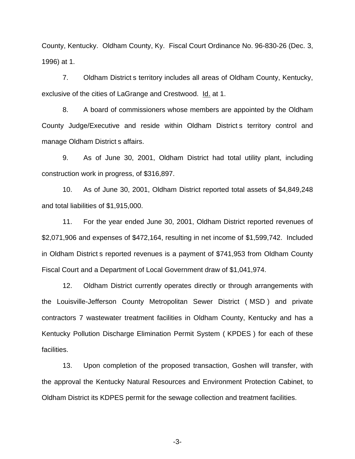County, Kentucky. Oldham County, Ky. Fiscal Court Ordinance No. 96-830-26 (Dec. 3, 1996) at 1.

7. Oldham District s territory includes all areas of Oldham County, Kentucky, exclusive of the cities of LaGrange and Crestwood. Id. at 1.

8. A board of commissioners whose members are appointed by the Oldham County Judge/Executive and reside within Oldham District s territory control and manage Oldham District s affairs.

9. As of June 30, 2001, Oldham District had total utility plant, including construction work in progress, of \$316,897.

10. As of June 30, 2001, Oldham District reported total assets of \$4,849,248 and total liabilities of \$1,915,000.

11. For the year ended June 30, 2001, Oldham District reported revenues of \$2,071,906 and expenses of \$472,164, resulting in net income of \$1,599,742. Included in Oldham District s reported revenues is a payment of \$741,953 from Oldham County Fiscal Court and a Department of Local Government draw of \$1,041,974.

12. Oldham District currently operates directly or through arrangements with the Louisville-Jefferson County Metropolitan Sewer District ( MSD ) and private contractors 7 wastewater treatment facilities in Oldham County, Kentucky and has a Kentucky Pollution Discharge Elimination Permit System ( KPDES ) for each of these facilities.

13. Upon completion of the proposed transaction, Goshen will transfer, with the approval the Kentucky Natural Resources and Environment Protection Cabinet, to Oldham District its KDPES permit for the sewage collection and treatment facilities.

-3-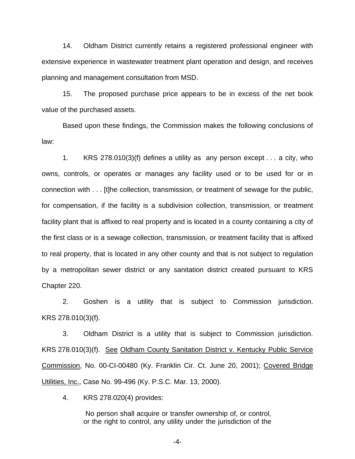14. Oldham District currently retains a registered professional engineer with extensive experience in wastewater treatment plant operation and design, and receives planning and management consultation from MSD.

15. The proposed purchase price appears to be in excess of the net book value of the purchased assets.

Based upon these findings, the Commission makes the following conclusions of law:

1. KRS 278.010(3)(f) defines a utility as any person except . . . a city, who owns, controls, or operates or manages any facility used or to be used for or in connection with . . . [t]he collection, transmission, or treatment of sewage for the public, for compensation, if the facility is a subdivision collection, transmission, or treatment facility plant that is affixed to real property and is located in a county containing a city of the first class or is a sewage collection, transmission, or treatment facility that is affixed to real property, that is located in any other county and that is not subject to regulation by a metropolitan sewer district or any sanitation district created pursuant to KRS Chapter 220.

2. Goshen is a utility that is subject to Commission jurisdiction. KRS 278.010(3)(f).

3. Oldham District is a utility that is subject to Commission jurisdiction. KRS 278.010(3)(f). See Oldham County Sanitation District v. Kentucky Public Service Commission, No. 00-CI-00480 (Ky. Franklin Cir. Ct. June 20, 2001); Covered Bridge Utilities, Inc., Case No. 99-496 (Ky. P.S.C. Mar. 13, 2000).

4. KRS 278.020(4) provides:

No person shall acquire or transfer ownership of, or control, or the right to control, any utility under the jurisdiction of the

-4-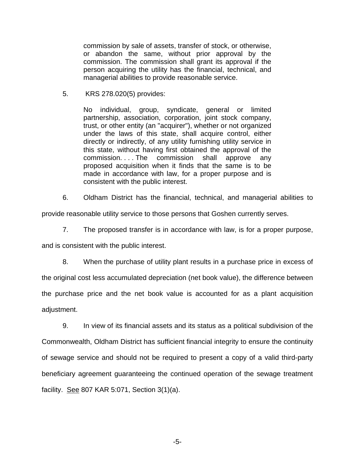commission by sale of assets, transfer of stock, or otherwise, or abandon the same, without prior approval by the commission. The commission shall grant its approval if the person acquiring the utility has the financial, technical, and managerial abilities to provide reasonable service.

5. KRS 278.020(5) provides:

No individual, group, syndicate, general or limited partnership, association, corporation, joint stock company, trust, or other entity (an "acquirer"), whether or not organized under the laws of this state, shall acquire control, either directly or indirectly, of any utility furnishing utility service in this state, without having first obtained the approval of the commission. . . . The commission shall approve any proposed acquisition when it finds that the same is to be made in accordance with law, for a proper purpose and is consistent with the public interest.

6. Oldham District has the financial, technical, and managerial abilities to

provide reasonable utility service to those persons that Goshen currently serves.

7. The proposed transfer is in accordance with law, is for a proper purpose,

and is consistent with the public interest.

8. When the purchase of utility plant results in a purchase price in excess of the original cost less accumulated depreciation (net book value), the difference between the purchase price and the net book value is accounted for as a plant acquisition adjustment.

9. In view of its financial assets and its status as a political subdivision of the Commonwealth, Oldham District has sufficient financial integrity to ensure the continuity of sewage service and should not be required to present a copy of a valid third-party beneficiary agreement guaranteeing the continued operation of the sewage treatment facility. See 807 KAR 5:071, Section 3(1)(a).

-5-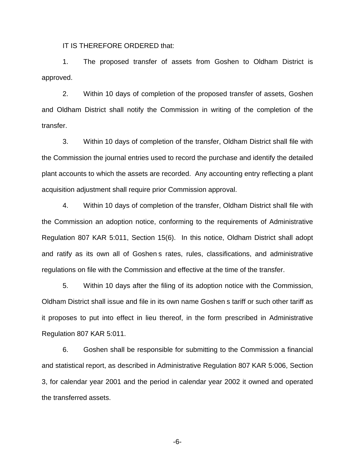IT IS THEREFORE ORDERED that:

1. The proposed transfer of assets from Goshen to Oldham District is approved.

2. Within 10 days of completion of the proposed transfer of assets, Goshen and Oldham District shall notify the Commission in writing of the completion of the transfer.

3. Within 10 days of completion of the transfer, Oldham District shall file with the Commission the journal entries used to record the purchase and identify the detailed plant accounts to which the assets are recorded. Any accounting entry reflecting a plant acquisition adjustment shall require prior Commission approval.

4. Within 10 days of completion of the transfer, Oldham District shall file with the Commission an adoption notice, conforming to the requirements of Administrative Regulation 807 KAR 5:011, Section 15(6). In this notice, Oldham District shall adopt and ratify as its own all of Goshen s rates, rules, classifications, and administrative regulations on file with the Commission and effective at the time of the transfer.

5. Within 10 days after the filing of its adoption notice with the Commission, Oldham District shall issue and file in its own name Goshen s tariff or such other tariff as it proposes to put into effect in lieu thereof, in the form prescribed in Administrative Regulation 807 KAR 5:011.

6. Goshen shall be responsible for submitting to the Commission a financial and statistical report, as described in Administrative Regulation 807 KAR 5:006, Section 3, for calendar year 2001 and the period in calendar year 2002 it owned and operated the transferred assets.

-6-